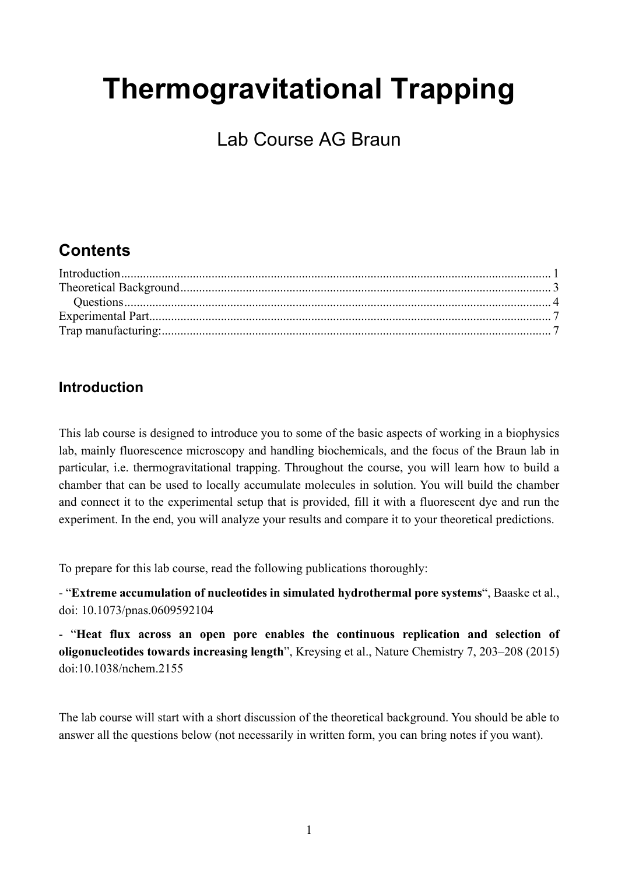# **Thermogravitational Trapping**

Lab Course AG Braun

## **Contents**

### **Introduction**

This lab course is designed to introduce you to some of the basic aspects of working in a biophysics lab, mainly fluorescence microscopy and handling biochemicals, and the focus of the Braun lab in particular, i.e. thermogravitational trapping. Throughout the course, you will learn how to build a chamber that can be used to locally accumulate molecules in solution. You will build the chamber and connect it to the experimental setup that is provided, fill it with a fluorescent dye and run the experiment. In the end, you will analyze your results and compare it to your theoretical predictions.

To prepare for this lab course, read the following publications thoroughly:

- "**Extreme accumulation of nucleotides in simulated hydrothermal pore systems**", Baaske et al., doi: 10.1073/pnas.0609592104

- "**Heat flux across an open pore enables the continuous replication and selection of oligonucleotides towards increasing length**", Kreysing et al., Nature Chemistry 7, 203–208 (2015) doi:10.1038/nchem.2155

The lab course will start with a short discussion of the theoretical background. You should be able to answer all the questions below (not necessarily in written form, you can bring notes if you want).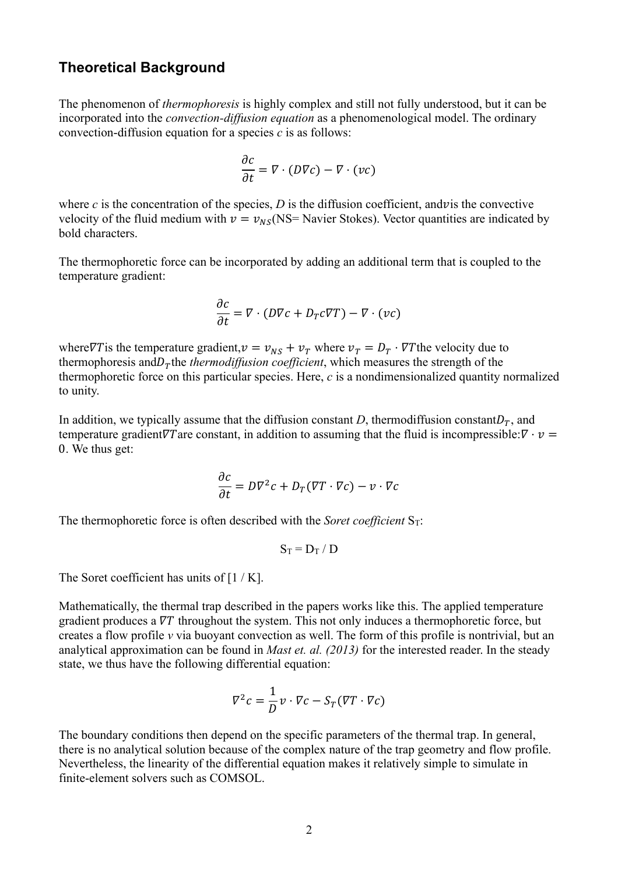#### **Theoretical Background**

The phenomenon of *thermophoresis* is highly complex and still not fully understood, but it can be incorporated into the *convection-diffusion equation* as a phenomenological model. The ordinary convection-diffusion equation for a species *c* is as follows:

$$
\frac{\partial c}{\partial t} = \nabla \cdot (D\nabla c) - \nabla \cdot (vc)
$$

where  $c$  is the concentration of the species,  $D$  is the diffusion coefficient, and v is the convective velocity of the fluid medium with  $v = v_{NS}$ (NS= Navier Stokes). Vector quantities are indicated by bold characters.

The thermophoretic force can be incorporated by adding an additional term that is coupled to the temperature gradient:

$$
\frac{\partial c}{\partial t} = \nabla \cdot (D\nabla c + D_T c\nabla T) - \nabla \cdot (vc)
$$

where  $\nabla T$  is the temperature gradient,  $v = v_{NS} + v_T$  where  $v_T = D_T \cdot \nabla T$  the velocity due to thermophoresis and  $D<sub>\tau</sub>$  the *thermodiffusion coefficient*, which measures the strength of the thermophoretic force on this particular species. Here, *c* is a nondimensionalized quantity normalized to unity.

In addition, we typically assume that the diffusion constant *D*, thermodiffusion constant  $D<sub>T</sub>$ , and temperature gradient $\nabla T$  are constant, in addition to assuming that the fluid is incompressible:  $\nabla \cdot \mathbf{v} =$ 0. We thus get:

$$
\frac{\partial c}{\partial t} = D\nabla^2 c + D_T(\nabla T \cdot \nabla c) - v \cdot \nabla c
$$

The thermophoretic force is often described with the *Soret coefficient*  $S_T$ :

$$
S_T = D_T / D
$$

The Soret coefficient has units of  $[1/K]$ .

Mathematically, the thermal trap described in the papers works like this. The applied temperature gradient produces a  $\nabla T$  throughout the system. This not only induces a thermophoretic force, but creates a flow profile *v* via buoyant convection as well. The form of this profile is nontrivial, but an analytical approximation can be found in *Mast et. al. (2013)* for the interested reader. In the steady state, we thus have the following differential equation:

$$
\nabla^2 c = \frac{1}{D} v \cdot \nabla c - S_T (\nabla T \cdot \nabla c)
$$

The boundary conditions then depend on the specific parameters of the thermal trap. In general, there is no analytical solution because of the complex nature of the trap geometry and flow profile. Nevertheless, the linearity of the differential equation makes it relatively simple to simulate in finite-element solvers such as COMSOL.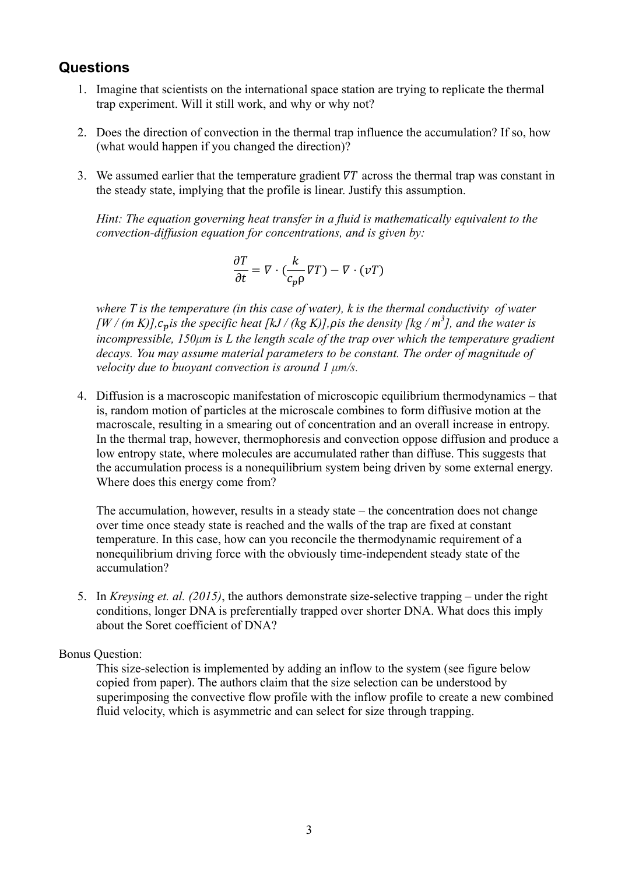#### **Questions**

- 1. Imagine that scientists on the international space station are trying to replicate the thermal trap experiment. Will it still work, and why or why not?
- 2. Does the direction of convection in the thermal trap influence the accumulation? If so, how (what would happen if you changed the direction)?
- 3. We assumed earlier that the temperature gradient  $\nabla T$  across the thermal trap was constant in the steady state, implying that the profile is linear. Justify this assumption.

*Hint: The equation governing heat transfer in a fluid is mathematically equivalent to the convection-diffusion equation for concentrations, and is given by:*

$$
\frac{\partial T}{\partial t} = \nabla \cdot \left( \frac{k}{c_p \rho} \nabla T \right) - \nabla \cdot (\nu T)
$$

*where T is the temperature (in this case of water), k is the thermal conductivity of water*   $\frac{1}{2}$  *(m K)]*,  $c_p$  *is the specific heat [kJ / (kg K)]*, *pis the density [kg / m<sup>3</sup>], and the water is incompressible, 150µm is L the length scale of the trap over which the temperature gradient decays. You may assume material parameters to be constant. The order of magnitude of velocity due to buoyant convection is around 1 µm/s.*

4. Diffusion is a macroscopic manifestation of microscopic equilibrium thermodynamics – that is, random motion of particles at the microscale combines to form diffusive motion at the macroscale, resulting in a smearing out of concentration and an overall increase in entropy. In the thermal trap, however, thermophoresis and convection oppose diffusion and produce a low entropy state, where molecules are accumulated rather than diffuse. This suggests that the accumulation process is a nonequilibrium system being driven by some external energy. Where does this energy come from?

The accumulation, however, results in a steady state – the concentration does not change over time once steady state is reached and the walls of the trap are fixed at constant temperature. In this case, how can you reconcile the thermodynamic requirement of a nonequilibrium driving force with the obviously time-independent steady state of the accumulation?

5. In *Kreysing et. al. (2015)*, the authors demonstrate size-selective trapping – under the right conditions, longer DNA is preferentially trapped over shorter DNA. What does this imply about the Soret coefficient of DNA?

#### Bonus Question:

This size-selection is implemented by adding an inflow to the system (see figure below copied from paper). The authors claim that the size selection can be understood by superimposing the convective flow profile with the inflow profile to create a new combined fluid velocity, which is asymmetric and can select for size through trapping.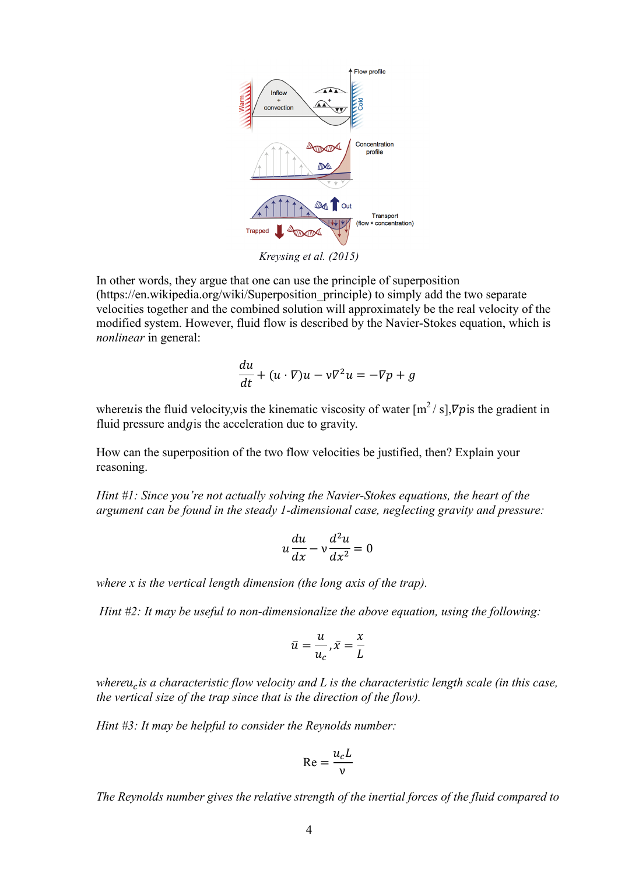

*Kreysing et al. (2015)*

In other words, they argue that one can use the principle of superposition (https://en.wikipedia.org/wiki/Superposition\_principle) to simply add the two separate velocities together and the combined solution will approximately be the real velocity of the modified system. However, fluid flow is described by the Navier-Stokes equation, which is *nonlinear* in general:

$$
\frac{du}{dt} + (u \cdot \nabla)u - v\nabla^2 u = -\nabla p + g
$$

where us the fluid velocity, vis the kinematic viscosity of water  $[m^2/s]$ ,  $\nabla p$  is the gradient in fluid pressure and  $q$  is the acceleration due to gravity.

How can the superposition of the two flow velocities be justified, then? Explain your reasoning.

*Hint #1: Since you're not actually solving the Navier-Stokes equations, the heart of the argument can be found in the steady 1-dimensional case, neglecting gravity and pressure:*

$$
u\frac{du}{dx} - v\frac{d^2u}{dx^2} = 0
$$

*where x is the vertical length dimension (the long axis of the trap).*

*Hint #2: It may be useful to non-dimensionalize the above equation, using the following:*

$$
\bar{u} = \frac{u}{u_c}, \bar{x} = \frac{x}{L}
$$

*whereu<sub>c</sub> is a characteristic flow velocity and L is the characteristic length scale (in this case, the vertical size of the trap since that is the direction of the flow).*

*Hint #3: It may be helpful to consider the Reynolds number:*

$$
\text{Re} = \frac{u_c L}{v}
$$

*The Reynolds number gives the relative strength of the inertial forces of the fluid compared to*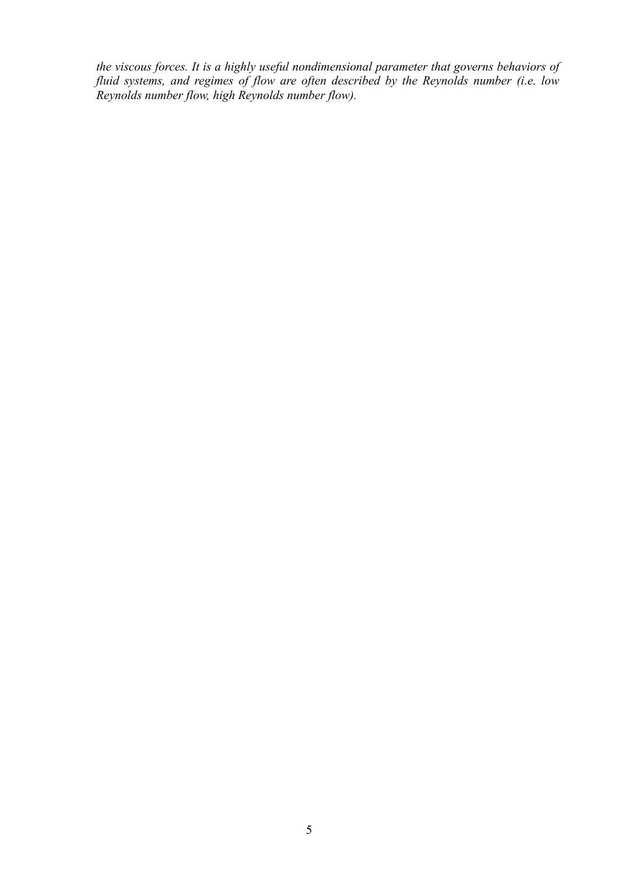*the viscous forces. It is a highly useful nondimensional parameter that governs behaviors of fluid systems, and regimes of flow are often described by the Reynolds number (i.e. low Reynolds number flow, high Reynolds number flow).*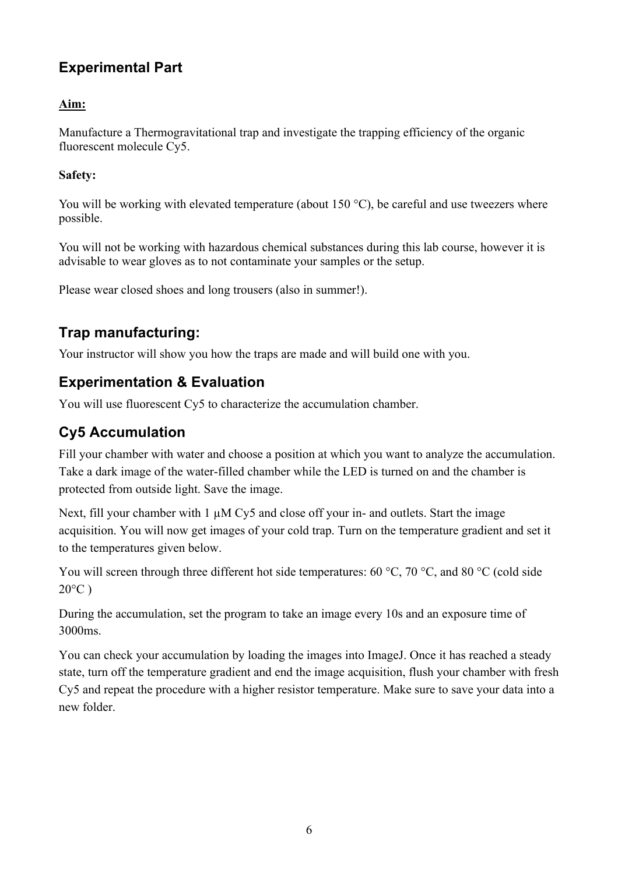## **Experimental Part**

#### **Aim:**

Manufacture a Thermogravitational trap and investigate the trapping efficiency of the organic fluorescent molecule Cy5.

#### **Safety:**

You will be working with elevated temperature (about 150 °C), be careful and use tweezers where possible.

You will not be working with hazardous chemical substances during this lab course, however it is advisable to wear gloves as to not contaminate your samples or the setup.

Please wear closed shoes and long trousers (also in summer!).

## **Trap manufacturing:**

Your instructor will show you how the traps are made and will build one with you.

## **Experimentation & Evaluation**

You will use fluorescent Cy5 to characterize the accumulation chamber.

## **Cy5 Accumulation**

Fill your chamber with water and choose a position at which you want to analyze the accumulation. Take a dark image of the water-filled chamber while the LED is turned on and the chamber is protected from outside light. Save the image.

Next, fill your chamber with  $1 \mu$ M Cy5 and close off your in- and outlets. Start the image acquisition. You will now get images of your cold trap. Turn on the temperature gradient and set it to the temperatures given below.

You will screen through three different hot side temperatures: 60 °C, 70 °C, and 80 °C (cold side  $20^{\circ}$ C)

During the accumulation, set the program to take an image every 10s and an exposure time of 3000ms.

You can check your accumulation by loading the images into ImageJ. Once it has reached a steady state, turn off the temperature gradient and end the image acquisition, flush your chamber with fresh Cy5 and repeat the procedure with a higher resistor temperature. Make sure to save your data into a new folder.